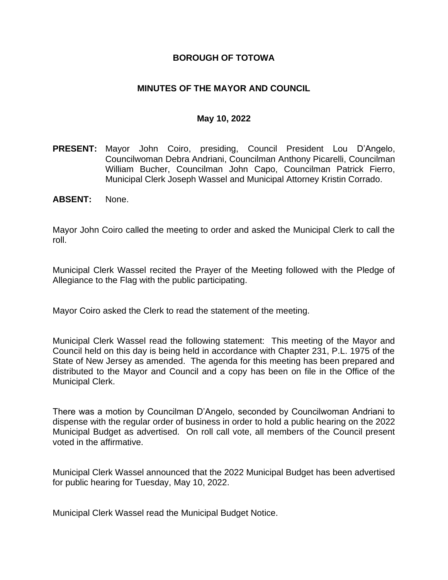## **BOROUGH OF TOTOWA**

## **MINUTES OF THE MAYOR AND COUNCIL**

#### **May 10, 2022**

- **PRESENT:** Mayor John Coiro, presiding, Council President Lou D'Angelo, Councilwoman Debra Andriani, Councilman Anthony Picarelli, Councilman William Bucher, Councilman John Capo, Councilman Patrick Fierro, Municipal Clerk Joseph Wassel and Municipal Attorney Kristin Corrado.
- **ABSENT:** None.

Mayor John Coiro called the meeting to order and asked the Municipal Clerk to call the roll.

Municipal Clerk Wassel recited the Prayer of the Meeting followed with the Pledge of Allegiance to the Flag with the public participating.

Mayor Coiro asked the Clerk to read the statement of the meeting.

Municipal Clerk Wassel read the following statement: This meeting of the Mayor and Council held on this day is being held in accordance with Chapter 231, P.L. 1975 of the State of New Jersey as amended. The agenda for this meeting has been prepared and distributed to the Mayor and Council and a copy has been on file in the Office of the Municipal Clerk.

There was a motion by Councilman D'Angelo, seconded by Councilwoman Andriani to dispense with the regular order of business in order to hold a public hearing on the 2022 Municipal Budget as advertised. On roll call vote, all members of the Council present voted in the affirmative.

Municipal Clerk Wassel announced that the 2022 Municipal Budget has been advertised for public hearing for Tuesday, May 10, 2022.

Municipal Clerk Wassel read the Municipal Budget Notice.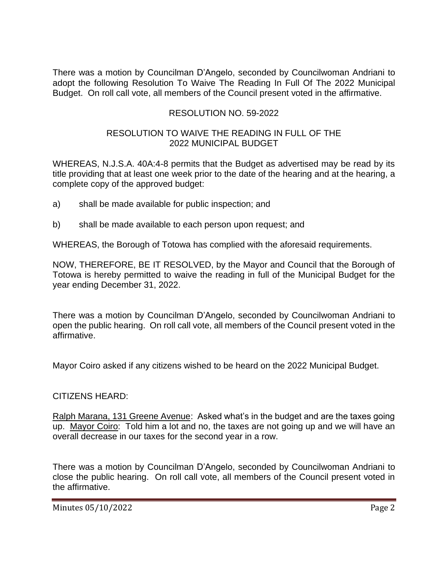There was a motion by Councilman D'Angelo, seconded by Councilwoman Andriani to adopt the following Resolution To Waive The Reading In Full Of The 2022 Municipal Budget. On roll call vote, all members of the Council present voted in the affirmative.

# RESOLUTION NO. 59-2022

## RESOLUTION TO WAIVE THE READING IN FULL OF THE 2022 MUNICIPAL BUDGET

WHEREAS, N.J.S.A. 40A:4-8 permits that the Budget as advertised may be read by its title providing that at least one week prior to the date of the hearing and at the hearing, a complete copy of the approved budget:

- a) shall be made available for public inspection; and
- b) shall be made available to each person upon request; and

WHEREAS, the Borough of Totowa has complied with the aforesaid requirements.

NOW, THEREFORE, BE IT RESOLVED, by the Mayor and Council that the Borough of Totowa is hereby permitted to waive the reading in full of the Municipal Budget for the year ending December 31, 2022.

There was a motion by Councilman D'Angelo, seconded by Councilwoman Andriani to open the public hearing. On roll call vote, all members of the Council present voted in the affirmative.

Mayor Coiro asked if any citizens wished to be heard on the 2022 Municipal Budget.

## CITIZENS HEARD:

Ralph Marana, 131 Greene Avenue: Asked what's in the budget and are the taxes going up. Mayor Coiro: Told him a lot and no, the taxes are not going up and we will have an overall decrease in our taxes for the second year in a row.

There was a motion by Councilman D'Angelo, seconded by Councilwoman Andriani to close the public hearing. On roll call vote, all members of the Council present voted in the affirmative.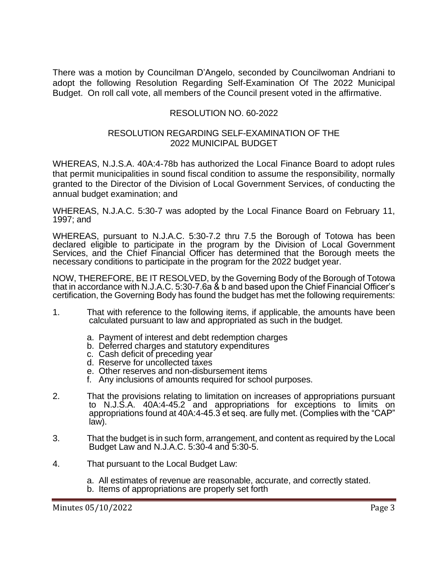There was a motion by Councilman D'Angelo, seconded by Councilwoman Andriani to adopt the following Resolution Regarding Self-Examination Of The 2022 Municipal Budget. On roll call vote, all members of the Council present voted in the affirmative.

## RESOLUTION NO. 60-2022

#### RESOLUTION REGARDING SELF-EXAMINATION OF THE 2022 MUNICIPAL BUDGET

WHEREAS, N.J.S.A. 40A:4-78b has authorized the Local Finance Board to adopt rules that permit municipalities in sound fiscal condition to assume the responsibility, normally granted to the Director of the Division of Local Government Services, of conducting the annual budget examination; and

WHEREAS, N.J.A.C. 5:30-7 was adopted by the Local Finance Board on February 11, 1997; and

WHEREAS, pursuant to N.J.A.C. 5:30-7.2 thru 7.5 the Borough of Totowa has been declared eligible to participate in the program by the Division of Local Government Services, and the Chief Financial Officer has determined that the Borough meets the necessary conditions to participate in the program for the 2022 budget year.

NOW, THEREFORE, BE IT RESOLVED, by the Governing Body of the Borough of Totowa that in accordance with N.J.A.C. 5:30-7.6a & b and based upon the Chief Financial Officer's certification, the Governing Body has found the budget has met the following requirements:

- 1. That with reference to the following items, if applicable, the amounts have been calculated pursuant to law and appropriated as such in the budget.
	- a. Payment of interest and debt redemption charges
	- b. Deferred charges and statutory expenditures
	- c. Cash deficit of preceding year
	- d. Reserve for uncollected taxes
	- e. Other reserves and non-disbursement items
	- f. Any inclusions of amounts required for school purposes.
- 2. That the provisions relating to limitation on increases of appropriations pursuant to N.J.S.A. 40A:4-45.2 and appropriations for exceptions to limits on appropriations found at 40A:4-45.3 et seq. are fully met. (Complies with the "CAP" law).
- 3. That the budget is in such form, arrangement, and content as required by the Local Budget Law and N.J.A.C. 5:30-4 and 5:30-5.
- 4. That pursuant to the Local Budget Law:
	- a. All estimates of revenue are reasonable, accurate, and correctly stated.
	- b. Items of appropriations are properly set forth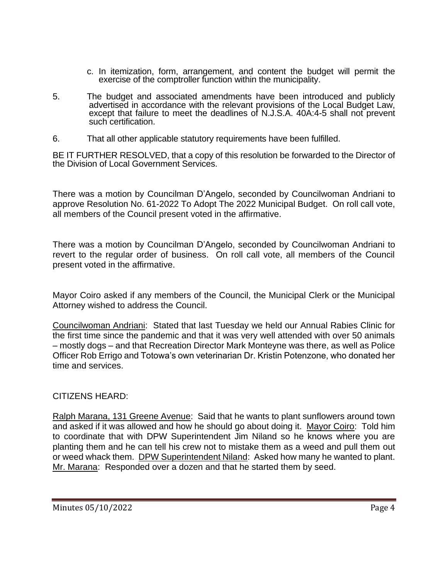- c. In itemization, form, arrangement, and content the budget will permit the exercise of the comptroller function within the municipality.
- 5. The budget and associated amendments have been introduced and publicly advertised in accordance with the relevant provisions of the Local Budget Law, except that failure to meet the deadlines of N.J.S.A. 40A:4-5 shall not prevent such certification.
- 6. That all other applicable statutory requirements have been fulfilled.

BE IT FURTHER RESOLVED, that a copy of this resolution be forwarded to the Director of the Division of Local Government Services.

There was a motion by Councilman D'Angelo, seconded by Councilwoman Andriani to approve Resolution No. 61-2022 To Adopt The 2022 Municipal Budget. On roll call vote, all members of the Council present voted in the affirmative.

There was a motion by Councilman D'Angelo, seconded by Councilwoman Andriani to revert to the regular order of business. On roll call vote, all members of the Council present voted in the affirmative.

Mayor Coiro asked if any members of the Council, the Municipal Clerk or the Municipal Attorney wished to address the Council.

Councilwoman Andriani: Stated that last Tuesday we held our Annual Rabies Clinic for the first time since the pandemic and that it was very well attended with over 50 animals – mostly dogs – and that Recreation Director Mark Monteyne was there, as well as Police Officer Rob Errigo and Totowa's own veterinarian Dr. Kristin Potenzone, who donated her time and services.

CITIZENS HEARD:

Ralph Marana, 131 Greene Avenue: Said that he wants to plant sunflowers around town and asked if it was allowed and how he should go about doing it. Mayor Coiro: Told him to coordinate that with DPW Superintendent Jim Niland so he knows where you are planting them and he can tell his crew not to mistake them as a weed and pull them out or weed whack them. DPW Superintendent Niland: Asked how many he wanted to plant. Mr. Marana: Responded over a dozen and that he started them by seed.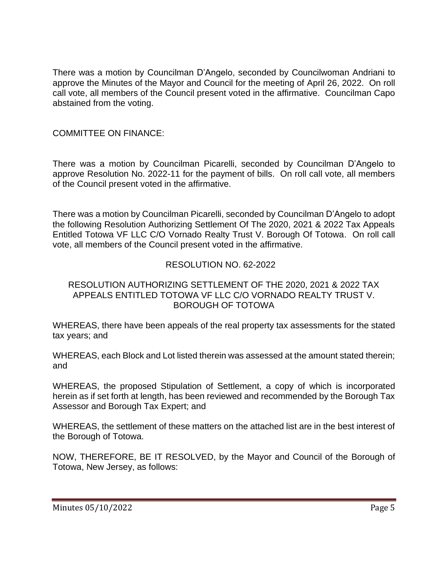There was a motion by Councilman D'Angelo, seconded by Councilwoman Andriani to approve the Minutes of the Mayor and Council for the meeting of April 26, 2022. On roll call vote, all members of the Council present voted in the affirmative. Councilman Capo abstained from the voting.

## COMMITTEE ON FINANCE:

There was a motion by Councilman Picarelli, seconded by Councilman D'Angelo to approve Resolution No. 2022-11 for the payment of bills. On roll call vote, all members of the Council present voted in the affirmative.

There was a motion by Councilman Picarelli, seconded by Councilman D'Angelo to adopt the following Resolution Authorizing Settlement Of The 2020, 2021 & 2022 Tax Appeals Entitled Totowa VF LLC C/O Vornado Realty Trust V. Borough Of Totowa. On roll call vote, all members of the Council present voted in the affirmative.

# RESOLUTION NO. 62-2022

## RESOLUTION AUTHORIZING SETTLEMENT OF THE 2020, 2021 & 2022 TAX APPEALS ENTITLED TOTOWA VF LLC C/O VORNADO REALTY TRUST V. BOROUGH OF TOTOWA

WHEREAS, there have been appeals of the real property tax assessments for the stated tax years; and

WHEREAS, each Block and Lot listed therein was assessed at the amount stated therein; and

WHEREAS, the proposed Stipulation of Settlement, a copy of which is incorporated herein as if set forth at length, has been reviewed and recommended by the Borough Tax Assessor and Borough Tax Expert; and

WHEREAS, the settlement of these matters on the attached list are in the best interest of the Borough of Totowa.

NOW, THEREFORE, BE IT RESOLVED, by the Mayor and Council of the Borough of Totowa, New Jersey, as follows: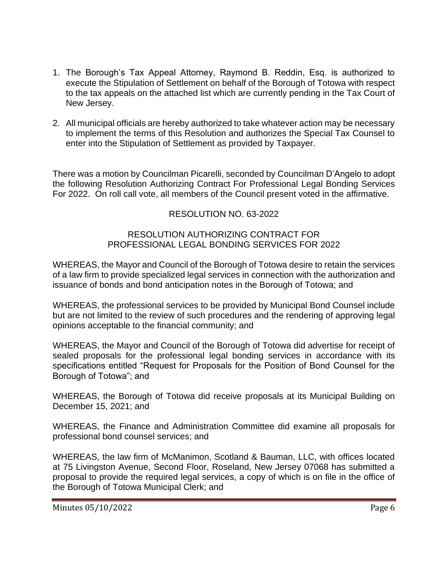- 1. The Borough's Tax Appeal Attorney, Raymond B. Reddin, Esq. is authorized to execute the Stipulation of Settlement on behalf of the Borough of Totowa with respect to the tax appeals on the attached list which are currently pending in the Tax Court of New Jersey.
- 2. All municipal officials are hereby authorized to take whatever action may be necessary to implement the terms of this Resolution and authorizes the Special Tax Counsel to enter into the Stipulation of Settlement as provided by Taxpayer.

There was a motion by Councilman Picarelli, seconded by Councilman D'Angelo to adopt the following Resolution Authorizing Contract For Professional Legal Bonding Services For 2022. On roll call vote, all members of the Council present voted in the affirmative.

# RESOLUTION NO. 63-2022

#### RESOLUTION AUTHORIZING CONTRACT FOR PROFESSIONAL LEGAL BONDING SERVICES FOR 2022

WHEREAS, the Mayor and Council of the Borough of Totowa desire to retain the services of a law firm to provide specialized legal services in connection with the authorization and issuance of bonds and bond anticipation notes in the Borough of Totowa; and

WHEREAS, the professional services to be provided by Municipal Bond Counsel include but are not limited to the review of such procedures and the rendering of approving legal opinions acceptable to the financial community; and

WHEREAS, the Mayor and Council of the Borough of Totowa did advertise for receipt of sealed proposals for the professional legal bonding services in accordance with its specifications entitled "Request for Proposals for the Position of Bond Counsel for the Borough of Totowa"; and

WHEREAS, the Borough of Totowa did receive proposals at its Municipal Building on December 15, 2021; and

WHEREAS, the Finance and Administration Committee did examine all proposals for professional bond counsel services; and

WHEREAS, the law firm of McManimon, Scotland & Bauman, LLC, with offices located at 75 Livingston Avenue, Second Floor, Roseland, New Jersey 07068 has submitted a proposal to provide the required legal services, a copy of which is on file in the office of the Borough of Totowa Municipal Clerk; and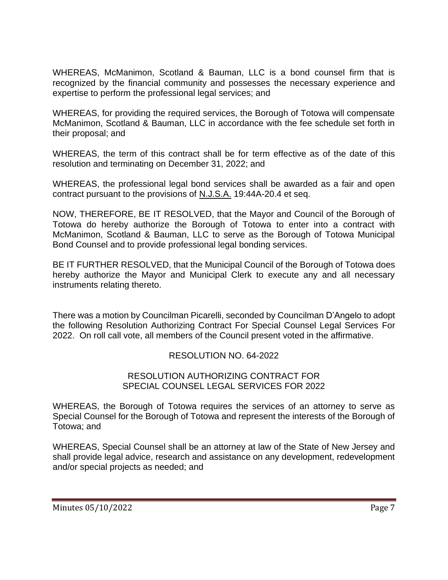WHEREAS, McManimon, Scotland & Bauman, LLC is a bond counsel firm that is recognized by the financial community and possesses the necessary experience and expertise to perform the professional legal services; and

WHEREAS, for providing the required services, the Borough of Totowa will compensate McManimon, Scotland & Bauman, LLC in accordance with the fee schedule set forth in their proposal; and

WHEREAS, the term of this contract shall be for term effective as of the date of this resolution and terminating on December 31, 2022; and

WHEREAS, the professional legal bond services shall be awarded as a fair and open contract pursuant to the provisions of N.J.S.A. 19:44A-20.4 et seq.

NOW, THEREFORE, BE IT RESOLVED, that the Mayor and Council of the Borough of Totowa do hereby authorize the Borough of Totowa to enter into a contract with McManimon, Scotland & Bauman, LLC to serve as the Borough of Totowa Municipal Bond Counsel and to provide professional legal bonding services.

BE IT FURTHER RESOLVED, that the Municipal Council of the Borough of Totowa does hereby authorize the Mayor and Municipal Clerk to execute any and all necessary instruments relating thereto.

There was a motion by Councilman Picarelli, seconded by Councilman D'Angelo to adopt the following Resolution Authorizing Contract For Special Counsel Legal Services For 2022. On roll call vote, all members of the Council present voted in the affirmative.

## RESOLUTION NO. 64-2022

#### RESOLUTION AUTHORIZING CONTRACT FOR SPECIAL COUNSEL LEGAL SERVICES FOR 2022

WHEREAS, the Borough of Totowa requires the services of an attorney to serve as Special Counsel for the Borough of Totowa and represent the interests of the Borough of Totowa; and

WHEREAS, Special Counsel shall be an attorney at law of the State of New Jersey and shall provide legal advice, research and assistance on any development, redevelopment and/or special projects as needed; and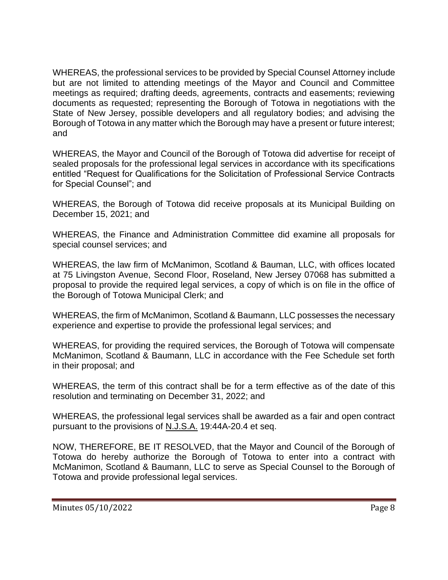WHEREAS, the professional services to be provided by Special Counsel Attorney include but are not limited to attending meetings of the Mayor and Council and Committee meetings as required; drafting deeds, agreements, contracts and easements; reviewing documents as requested; representing the Borough of Totowa in negotiations with the State of New Jersey, possible developers and all regulatory bodies; and advising the Borough of Totowa in any matter which the Borough may have a present or future interest; and

WHEREAS, the Mayor and Council of the Borough of Totowa did advertise for receipt of sealed proposals for the professional legal services in accordance with its specifications entitled "Request for Qualifications for the Solicitation of Professional Service Contracts for Special Counsel"; and

WHEREAS, the Borough of Totowa did receive proposals at its Municipal Building on December 15, 2021; and

WHEREAS, the Finance and Administration Committee did examine all proposals for special counsel services; and

WHEREAS, the law firm of McManimon, Scotland & Bauman, LLC, with offices located at 75 Livingston Avenue, Second Floor, Roseland, New Jersey 07068 has submitted a proposal to provide the required legal services, a copy of which is on file in the office of the Borough of Totowa Municipal Clerk; and

WHEREAS, the firm of McManimon, Scotland & Baumann, LLC possesses the necessary experience and expertise to provide the professional legal services; and

WHEREAS, for providing the required services, the Borough of Totowa will compensate McManimon, Scotland & Baumann, LLC in accordance with the Fee Schedule set forth in their proposal; and

WHEREAS, the term of this contract shall be for a term effective as of the date of this resolution and terminating on December 31, 2022; and

WHEREAS, the professional legal services shall be awarded as a fair and open contract pursuant to the provisions of N.J.S.A. 19:44A-20.4 et seq.

NOW, THEREFORE, BE IT RESOLVED, that the Mayor and Council of the Borough of Totowa do hereby authorize the Borough of Totowa to enter into a contract with McManimon, Scotland & Baumann, LLC to serve as Special Counsel to the Borough of Totowa and provide professional legal services.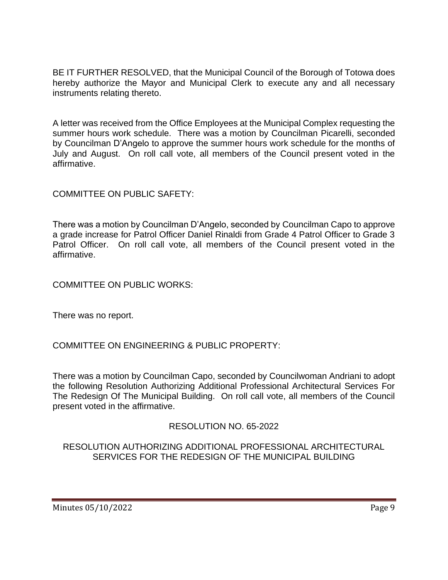BE IT FURTHER RESOLVED, that the Municipal Council of the Borough of Totowa does hereby authorize the Mayor and Municipal Clerk to execute any and all necessary instruments relating thereto.

A letter was received from the Office Employees at the Municipal Complex requesting the summer hours work schedule. There was a motion by Councilman Picarelli, seconded by Councilman D'Angelo to approve the summer hours work schedule for the months of July and August. On roll call vote, all members of the Council present voted in the affirmative.

COMMITTEE ON PUBLIC SAFETY:

There was a motion by Councilman D'Angelo, seconded by Councilman Capo to approve a grade increase for Patrol Officer Daniel Rinaldi from Grade 4 Patrol Officer to Grade 3 Patrol Officer. On roll call vote, all members of the Council present voted in the affirmative.

COMMITTEE ON PUBLIC WORKS:

There was no report.

COMMITTEE ON ENGINEERING & PUBLIC PROPERTY:

There was a motion by Councilman Capo, seconded by Councilwoman Andriani to adopt the following Resolution Authorizing Additional Professional Architectural Services For The Redesign Of The Municipal Building. On roll call vote, all members of the Council present voted in the affirmative.

RESOLUTION NO. 65-2022

RESOLUTION AUTHORIZING ADDITIONAL PROFESSIONAL ARCHITECTURAL SERVICES FOR THE REDESIGN OF THE MUNICIPAL BUILDING

Minutes 05/10/2022 **Page 9**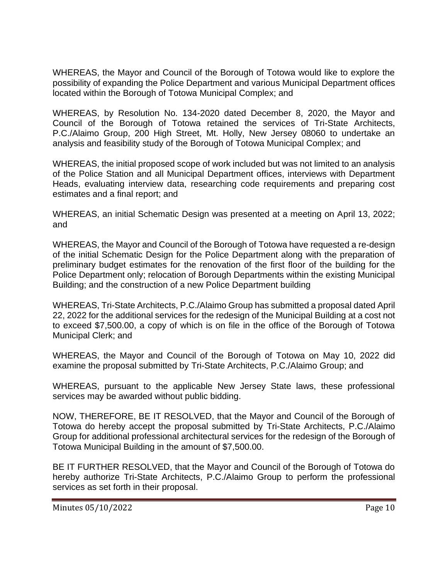WHEREAS, the Mayor and Council of the Borough of Totowa would like to explore the possibility of expanding the Police Department and various Municipal Department offices located within the Borough of Totowa Municipal Complex; and

WHEREAS, by Resolution No. 134-2020 dated December 8, 2020, the Mayor and Council of the Borough of Totowa retained the services of Tri-State Architects, P.C./Alaimo Group, 200 High Street, Mt. Holly, New Jersey 08060 to undertake an analysis and feasibility study of the Borough of Totowa Municipal Complex; and

WHEREAS, the initial proposed scope of work included but was not limited to an analysis of the Police Station and all Municipal Department offices, interviews with Department Heads, evaluating interview data, researching code requirements and preparing cost estimates and a final report; and

WHEREAS, an initial Schematic Design was presented at a meeting on April 13, 2022; and

WHEREAS, the Mayor and Council of the Borough of Totowa have requested a re-design of the initial Schematic Design for the Police Department along with the preparation of preliminary budget estimates for the renovation of the first floor of the building for the Police Department only; relocation of Borough Departments within the existing Municipal Building; and the construction of a new Police Department building

WHEREAS, Tri-State Architects, P.C./Alaimo Group has submitted a proposal dated April 22, 2022 for the additional services for the redesign of the Municipal Building at a cost not to exceed \$7,500.00, a copy of which is on file in the office of the Borough of Totowa Municipal Clerk; and

WHEREAS, the Mayor and Council of the Borough of Totowa on May 10, 2022 did examine the proposal submitted by Tri-State Architects, P.C./Alaimo Group; and

WHEREAS, pursuant to the applicable New Jersey State laws, these professional services may be awarded without public bidding.

NOW, THEREFORE, BE IT RESOLVED, that the Mayor and Council of the Borough of Totowa do hereby accept the proposal submitted by Tri-State Architects, P.C./Alaimo Group for additional professional architectural services for the redesign of the Borough of Totowa Municipal Building in the amount of \$7,500.00.

BE IT FURTHER RESOLVED, that the Mayor and Council of the Borough of Totowa do hereby authorize Tri-State Architects, P.C./Alaimo Group to perform the professional services as set forth in their proposal.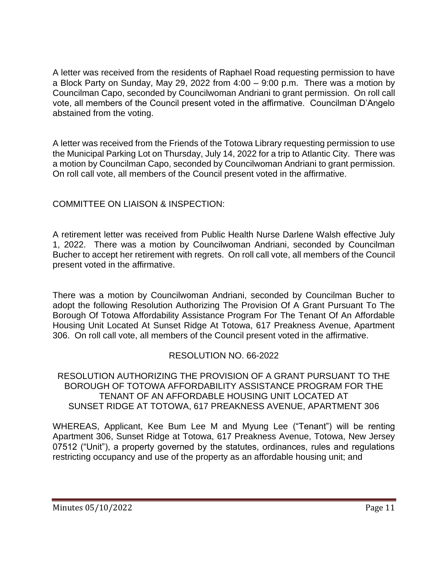A letter was received from the residents of Raphael Road requesting permission to have a Block Party on Sunday, May 29, 2022 from 4:00 – 9:00 p.m. There was a motion by Councilman Capo, seconded by Councilwoman Andriani to grant permission. On roll call vote, all members of the Council present voted in the affirmative. Councilman D'Angelo abstained from the voting.

A letter was received from the Friends of the Totowa Library requesting permission to use the Municipal Parking Lot on Thursday, July 14, 2022 for a trip to Atlantic City. There was a motion by Councilman Capo, seconded by Councilwoman Andriani to grant permission. On roll call vote, all members of the Council present voted in the affirmative.

# COMMITTEE ON LIAISON & INSPECTION:

A retirement letter was received from Public Health Nurse Darlene Walsh effective July 1, 2022. There was a motion by Councilwoman Andriani, seconded by Councilman Bucher to accept her retirement with regrets. On roll call vote, all members of the Council present voted in the affirmative.

There was a motion by Councilwoman Andriani, seconded by Councilman Bucher to adopt the following Resolution Authorizing The Provision Of A Grant Pursuant To The Borough Of Totowa Affordability Assistance Program For The Tenant Of An Affordable Housing Unit Located At Sunset Ridge At Totowa, 617 Preakness Avenue, Apartment 306. On roll call vote, all members of the Council present voted in the affirmative.

## RESOLUTION NO. 66-2022

#### RESOLUTION AUTHORIZING THE PROVISION OF A GRANT PURSUANT TO THE BOROUGH OF TOTOWA AFFORDABILITY ASSISTANCE PROGRAM FOR THE TENANT OF AN AFFORDABLE HOUSING UNIT LOCATED AT SUNSET RIDGE AT TOTOWA, 617 PREAKNESS AVENUE, APARTMENT 306

WHEREAS, Applicant, Kee Bum Lee M and Myung Lee ("Tenant") will be renting Apartment 306, Sunset Ridge at Totowa, 617 Preakness Avenue, Totowa, New Jersey 07512 ("Unit"), a property governed by the statutes, ordinances, rules and regulations restricting occupancy and use of the property as an affordable housing unit; and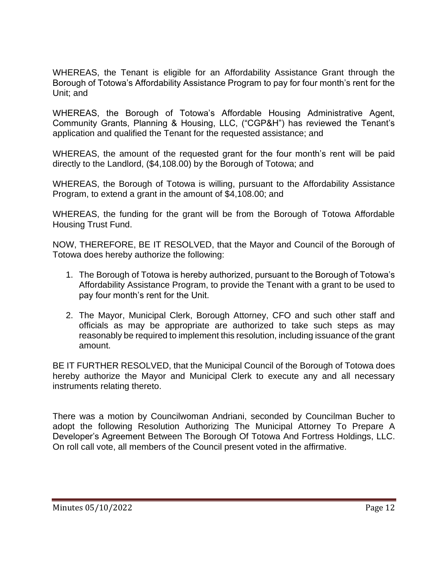WHEREAS, the Tenant is eligible for an Affordability Assistance Grant through the Borough of Totowa's Affordability Assistance Program to pay for four month's rent for the Unit; and

WHEREAS, the Borough of Totowa's Affordable Housing Administrative Agent, Community Grants, Planning & Housing, LLC, ("CGP&H") has reviewed the Tenant's application and qualified the Tenant for the requested assistance; and

WHEREAS, the amount of the requested grant for the four month's rent will be paid directly to the Landlord, (\$4,108.00) by the Borough of Totowa; and

WHEREAS, the Borough of Totowa is willing, pursuant to the Affordability Assistance Program, to extend a grant in the amount of \$4,108.00; and

WHEREAS, the funding for the grant will be from the Borough of Totowa Affordable Housing Trust Fund.

NOW, THEREFORE, BE IT RESOLVED, that the Mayor and Council of the Borough of Totowa does hereby authorize the following:

- 1. The Borough of Totowa is hereby authorized, pursuant to the Borough of Totowa's Affordability Assistance Program, to provide the Tenant with a grant to be used to pay four month's rent for the Unit.
- 2. The Mayor, Municipal Clerk, Borough Attorney, CFO and such other staff and officials as may be appropriate are authorized to take such steps as may reasonably be required to implement this resolution, including issuance of the grant amount.

BE IT FURTHER RESOLVED, that the Municipal Council of the Borough of Totowa does hereby authorize the Mayor and Municipal Clerk to execute any and all necessary instruments relating thereto.

There was a motion by Councilwoman Andriani, seconded by Councilman Bucher to adopt the following Resolution Authorizing The Municipal Attorney To Prepare A Developer's Agreement Between The Borough Of Totowa And Fortress Holdings, LLC. On roll call vote, all members of the Council present voted in the affirmative.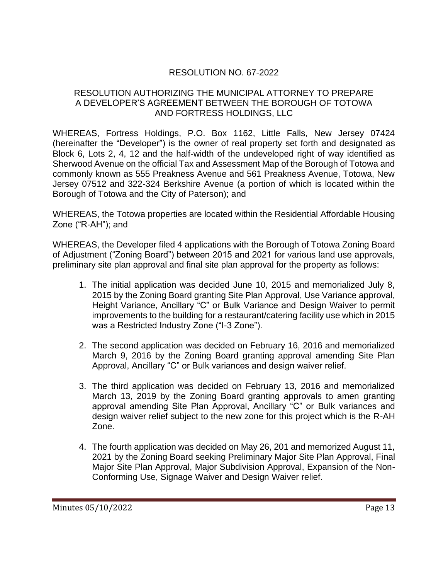## RESOLUTION NO. 67-2022

## RESOLUTION AUTHORIZING THE MUNICIPAL ATTORNEY TO PREPARE A DEVELOPER'S AGREEMENT BETWEEN THE BOROUGH OF TOTOWA AND FORTRESS HOLDINGS, LLC

WHEREAS, Fortress Holdings, P.O. Box 1162, Little Falls, New Jersey 07424 (hereinafter the "Developer") is the owner of real property set forth and designated as Block 6, Lots 2, 4, 12 and the half-width of the undeveloped right of way identified as Sherwood Avenue on the official Tax and Assessment Map of the Borough of Totowa and commonly known as 555 Preakness Avenue and 561 Preakness Avenue, Totowa, New Jersey 07512 and 322-324 Berkshire Avenue (a portion of which is located within the Borough of Totowa and the City of Paterson); and

WHEREAS, the Totowa properties are located within the Residential Affordable Housing Zone ("R-AH"); and

WHEREAS, the Developer filed 4 applications with the Borough of Totowa Zoning Board of Adjustment ("Zoning Board") between 2015 and 2021 for various land use approvals, preliminary site plan approval and final site plan approval for the property as follows:

- 1. The initial application was decided June 10, 2015 and memorialized July 8, 2015 by the Zoning Board granting Site Plan Approval, Use Variance approval, Height Variance, Ancillary "C" or Bulk Variance and Design Waiver to permit improvements to the building for a restaurant/catering facility use which in 2015 was a Restricted Industry Zone ("I-3 Zone").
- 2. The second application was decided on February 16, 2016 and memorialized March 9, 2016 by the Zoning Board granting approval amending Site Plan Approval, Ancillary "C" or Bulk variances and design waiver relief.
- 3. The third application was decided on February 13, 2016 and memorialized March 13, 2019 by the Zoning Board granting approvals to amen granting approval amending Site Plan Approval, Ancillary "C" or Bulk variances and design waiver relief subject to the new zone for this project which is the R-AH Zone.
- 4. The fourth application was decided on May 26, 201 and memorized August 11, 2021 by the Zoning Board seeking Preliminary Major Site Plan Approval, Final Major Site Plan Approval, Major Subdivision Approval, Expansion of the Non-Conforming Use, Signage Waiver and Design Waiver relief.